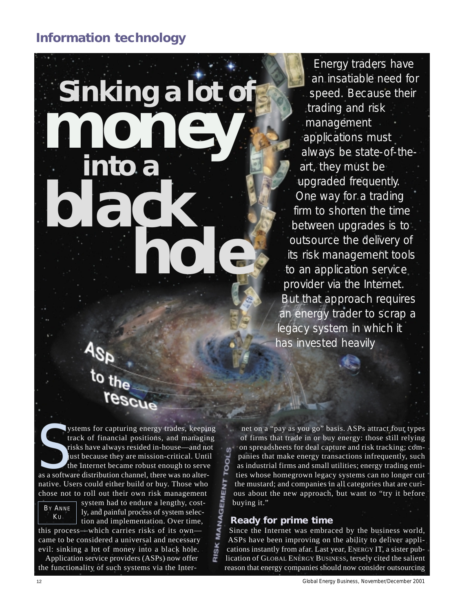**Sinking a lot of** *money* **into a**  *black hole Energy traders have an insatiable need for speed. Because their trading and risk management applications must always be state-of-theart, they must be upgraded frequently. One way for a trading firm to shorten the time between upgrades is to outsource the delivery of its risk management tools to an application service provider via the Internet. But that approach requires an energy trader to scrap a legacy system in which it*

rescue **SEE AS ASSEMBLE AT A SECULAR AND THE SEE AND THE SEE AND THE SEE AND THE SEE AND THE SEE AND THE SEE AND THE SEE AND THE SEE AND A SECULIE AND A SECULIE AND A SECURE 2013 A SOFTWARE AND ALTERNATIVE AND A SECULIE AND A SEC** stems for capturing energy trades, keeping track of financial positions, and managing risks have always resided in-house—and not just because they are mission-critical. Until the Internet became robust enough to serve native. Users could either build or buy. Those who chose not to roll out their own risk management



system had to endure a lengthy, costly, and painful process of system selection and implementation. Over time,

this process—which carries risks of its own came to be considered a universal and necessary evil: sinking a lot of money into a black hole.

Application service providers (ASPs) now offer the functionality of such systems via the Inter-

net on a "pay as you go" basis. ASPs attract four types of firms that trade in or buy energy: those still relying on spreadsheets for deal capture and risk tracking; com- $\omega$ panies that make energy transactions infrequently, such as industrial firms and small utilities; energy trading entities whose homegrown legacy systems can no longer cut the mustard; and companies in all categories that are curious about the new approach, but want to "try it before buying it."

*has invested heavily*

## **Ready for prime time**

RISK

Since the Internet was embraced by the business world, ASPs have been improving on the ability to deliver applications instantly from afar. Last year, ENERGY IT, a sister publication of GLOBAL ENERGY BUSINESS, tersely cited the salient reason that energy companies should now consider outsourcing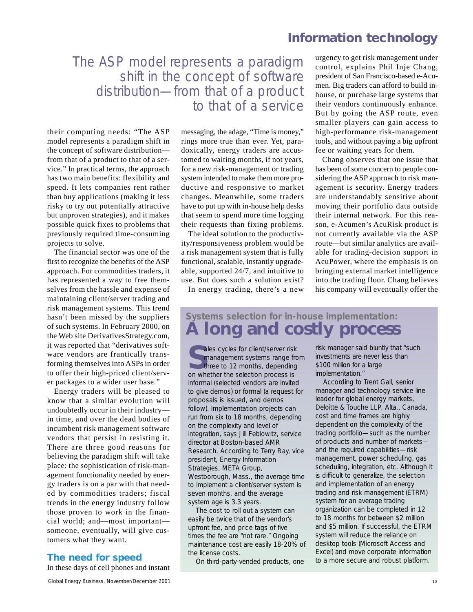# The ASP model represents a paradigm shift in the concept of software distribution—from that of a product to that of a service

their computing needs: "The ASP model represents a paradigm shift in the concept of software distribution from that of a product to that of a service." In practical terms, the approach has two main benefits: flexibility and speed. It lets companies rent rather than buy applications (making it less risky to try out potentially attractive but unproven strategies), and it makes possible quick fixes to problems that previously required time-consuming projects to solve.

The financial sector was one of the first to recognize the benefits of the ASP approach. For commodities traders, it has represented a way to free themselves from the hassle and expense of maintaining client/server trading and risk management systems. This trend hasn't been missed by the suppliers of such systems. In February 2000, on the Web site DerivativesStrategy.com, it was reported that "derivatives software vendors are frantically transforming themselves into ASPs in order to offer their high-priced client/server packages to a wider user base."

Energy traders will be pleased to know that a similar evolution will undoubtedly occur in their industry in time, and over the dead bodies of incumbent risk management software vendors that persist in resisting it. There are three good reasons for believing the paradigm shift will take place: the sophistication of risk-management functionality needed by energy traders is on a par with that needed by commodities traders; fiscal trends in the energy industry follow those proven to work in the financial world; and—most important someone, eventually, will give customers what they want.

#### **The need for speed**

In these days of cell phones and instant

messaging, the adage, "Time is money," rings more true than ever. Yet, paradoxically, energy traders are accustomed to waiting months, if not years, for a new risk-management or trading system intended to make them more productive and responsive to market changes. Meanwhile, some traders have to put up with in-house help desks that seem to spend more time logging their requests than fixing problems.

The ideal solution to the productivity/responsiveness problem would be a risk management system that is fully functional, scalable, instantly upgradeable, supported 24/7, and intuitive to use. But does such a solution exist?

In energy trading, there's a new

urgency to get risk management under control, explains Phil Inje Chang, president of San Francisco-based e-Acumen. Big traders can afford to build inhouse, or purchase large systems that their vendors continuously enhance. But by going the ASP route, even smaller players can gain access to high-performance risk-management tools, and without paying a big upfront fee or waiting years for them.

Chang observes that one issue that has been of some concern to people considering the ASP approach to risk management is security. Energy traders are understandably sensitive about moving their portfolio data outside their internal network. For this reason, e-Acumen's AcuRisk product is not currently available via the ASP route—but similar analytics are available for trading-decision support in AcuPower, where the emphasis is on bringing external market intelligence into the trading floor. Chang believes his company will eventually offer the

# **Systems selection for in-house implementation: A long and costly process**

Sales cycles for client/server risk<br>
management systems range from<br>
three to 12 months, depending<br>
on whether the selection process is management systems range from three to 12 months, depending on whether the selection process is informal (selected vendors are invited to give demos) or formal (a request for proposals is issued, and demos follow). Implementation projects can run from six to 18 months, depending on the complexity and level of integration, says Jill Feblowitz, service director at Boston-based AMR Research. According to Terry Ray, vice president, Energy Information Strategies, META Group, Westborough, Mass., the average time to implement a client/server system is seven months, and the average system age is 3.3 years.

The cost to roll out a system can easily be twice that of the vendor's upfront fee, and price tags of five times the fee are "not rare." Ongoing maintenance cost are easily 18-20% of the license costs.

On third-party-vended products, one

risk manager said bluntly that "such investments are never less than \$100 million for a large implementation."

According to Trent Gall, senior manager and technology service line leader for global energy markets, Deloitte & Touche LLP, Alta., Canada, cost and time frames are highly dependent on the complexity of the trading portfolio—such as the number of products and number of markets and the required capabilities—risk management, power scheduling, gas scheduling, integration, etc. Although it is difficult to generalize, the selection and implementation of an energy trading and risk management (ETRM) system for an average trading organization can be completed in 12 to 18 months for between \$2 million and \$5 million. If successful, the ETRM system will reduce the reliance on desktop tools (Microsoft Access and Excel) and move corporate information to a more secure and robust platform.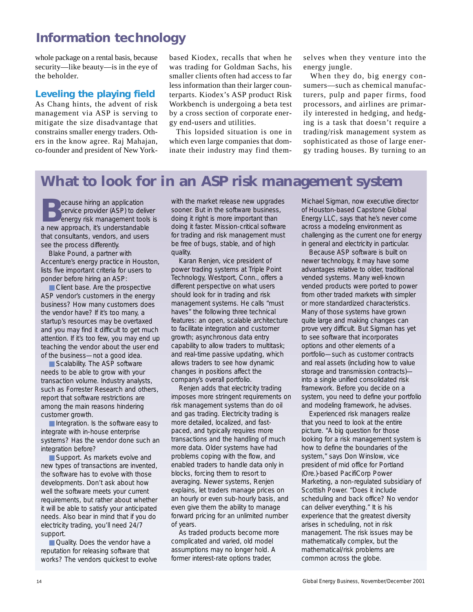whole package on a rental basis, because security—like beauty—is in the eye of the beholder.

## **Leveling the playing field**

As Chang hints, the advent of risk management via ASP is serving to mitigate the size disadvantage that constrains smaller energy traders. Others in the know agree. Raj Mahajan, co-founder and president of New Yorkbased Kiodex, recalls that when he was trading for Goldman Sachs, his smaller clients often had access to far less information than their larger counterparts. Kiodex's ASP product Risk Workbench is undergoing a beta test by a cross section of corporate energy end-users and utilities.

This lopsided situation is one in which even large companies that dominate their industry may find themselves when they venture into the energy jungle.

When they do, big energy consumers—such as chemical manufacturers, pulp and paper firms, food processors, and airlines are primarily interested in hedging, and hedging is a task that doesn't require a trading/risk management system as sophisticated as those of large energy trading houses. By turning to an

# **What to look for in an ASP risk management system**

**B**ecause hiring an application service provider (ASP) to deliver energy risk management tools is a new approach, it's understandable that consultants, vendors, and users see the process differently.

Blake Pound, a partner with Accenture's energy practice in Houston, lists five important criteria for users to ponder before hiring an ASP:

■ Client base. Are the prospective ASP vendor's customers in the energy business? How many customers does the vendor have? If it's too many, a startup's resources may be overtaxed and you may find it difficult to get much attention. If it's too few, you may end up teaching the vendor about the user end of the business—not a good idea.

■ Scalability. The ASP software needs to be able to grow with your transaction volume. Industry analysts, such as Forrester Research and others, report that software restrictions are among the main reasons hindering customer growth.

■ Integration. Is the software easy to integrate with in-house enterprise systems? Has the vendor done such an integration before?

■ Support. As markets evolve and new types of transactions are invented, the software has to evolve with those developments. Don't ask about how well the software meets your current requirements, but rather about whether it will be able to satisfy your anticipated needs. Also bear in mind that if you do electricity trading, you'll need 24/7 support.

■ Quality. Does the vendor have a reputation for releasing software that works? The vendors quickest to evolve

with the market release new upgrades sooner. But in the software business, doing it right is more important than doing it faster. Mission-critical software for trading and risk management must be free of bugs, stable, and of high quality.

Karan Renjen, vice president of power trading systems at Triple Point Technology, Westport, Conn., offers a different perspective on what users should look for in trading and risk management systems. He calls "must haves" the following three technical features: an open, scalable architecture to facilitate integration and customer growth; asynchronous data entry capability to allow traders to multitask; and real-time passive updating, which allows traders to see how dynamic changes in positions affect the company's overall portfolio.

Renjen adds that electricity trading imposes more stringent requirements on risk management systems than do oil and gas trading. Electricity trading is more detailed, localized, and fastpaced, and typically requires more transactions and the handling of much more data. Older systems have had problems coping with the flow, and enabled traders to handle data only in blocks, forcing them to resort to averaging. Newer systems, Renjen explains, let traders manage prices on an hourly or even sub-hourly basis, and even give them the ability to manage forward pricing for an unlimited number of years.

As traded products become more complicated and varied, old model assumptions may no longer hold. A former interest-rate options trader,

Michael Sigman, now executive director of Houston-based Capstone Global Energy LLC, says that he's never come across a modeling environment as challenging as the current one for energy in general and electricity in particular.

Because ASP software is built on newer technology, it may have some advantages relative to older, traditional vended systems. Many well-known vended products were ported to power from other traded markets with simpler or more standardized characteristics. Many of those systems have grown quite large and making changes can prove very difficult. But Sigman has yet to see software that incorporates options and other elements of a portfolio—such as customer contracts and real assets (including how to value storage and transmission contracts) into a single unified consolidated risk framework. Before you decide on a system, you need to define your portfolio and modeling framework, he advises.

Experienced risk managers realize that you need to look at the entire picture. "A big question for those looking for a risk management system is how to define the boundaries of the system," says Don Winslow, vice president of mid office for Portland (Ore.)-based PacifiCorp Power Marketing, a non-regulated subsidiary of Scottish Power. "Does it include scheduling and back office? No vendor can deliver everything." It is his experience that the greatest diversity arises in scheduling, not in risk management. The risk issues may be mathematically complex, but the mathematical/risk problems are common across the globe.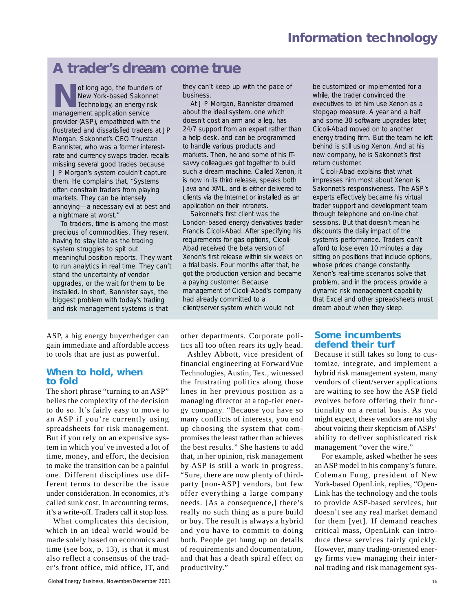# **A trader's dream come true**

ot long ago, the founders of New York-based Sakonnet Technology, an energy risk management application service provider (ASP), empathized with the frustrated and dissatisfied traders at JP Morgan. Sakonnet's CEO Thurstan Bannister, who was a former interestrate and currency swaps trader, recalls missing several good trades because J P Morgan's system couldn't capture them. He complains that, "Systems often constrain traders from playing markets. They can be intensely annoying—a necessary evil at best and a nightmare at worst."

To traders, time is among the most precious of commodities. They resent having to stay late as the trading system struggles to spit out meaningful position reports. They want to run analytics in real time. They can't stand the uncertainty of vendor upgrades, or the wait for them to be installed. In short, Bannister says, the biggest problem with today's trading and risk management systems is that

ASP, a big energy buyer/hedger can gain immediate and affordable access to tools that are just as powerful.

## **When to hold, when to fold**

The short phrase "turning to an ASP" belies the complexity of the decision to do so. It's fairly easy to move to an ASP if you're currently using spreadsheets for risk management. But if you rely on an expensive system in which you've invested a lot of time, money, and effort, the decision to make the transition can be a painful one. Different disciplines use different terms to describe the issue under consideration. In economics, it's called sunk cost. In accounting terms, it's a write-off. Traders call it stop loss.

What complicates this decision, which in an ideal world would be made solely based on economics and time (see box, p. 13), is that it must also reflect a consensus of the trader's front office, mid office, IT, and they can't keep up with the pace of business.

At J P Morgan, Bannister dreamed about the ideal system, one which doesn't cost an arm and a leg, has 24/7 support from an expert rather than a help desk, and can be programmed to handle various products and markets. Then, he and some of his ITsavvy colleagues got together to build such a dream machine. Called Xenon, it is now in its third release, speaks both Java and XML, and is either delivered to clients via the Internet or installed as an application on their intranets.

Sakonnet's first client was the London-based energy derivatives trader Francis Cicoli-Abad. After specifying his requirements for gas options, Cicoli-Abad received the beta version of Xenon's first release within six weeks on a trial basis. Four months after that, he got the production version and became a paying customer. Because management of Cicoli-Abad's company had already committed to a client/server system which would not

other departments. Corporate politics all too often rears its ugly head.

Ashley Abbott, vice president of financial engineering at ForwardVue Technologies, Austin, Tex., witnessed the frustrating politics along those lines in her previous position as a managing director at a top-tier energy company. "Because you have so many conflicts of interests, you end up choosing the system that compromises the least rather than achieves the best results." She hastens to add that, in her opinion, risk management by ASP is still a work in progress. "Sure, there are now plenty of thirdparty [non-ASP] vendors, but few offer everything a large company needs. [As a consequence,] there's really no such thing as a pure build or buy. The result is always a hybrid and you have to commit to doing both. People get hung up on details of requirements and documentation, and that has a death spiral effect on productivity."

be customized or implemented for a while, the trader convinced the executives to let him use Xenon as a stopgap measure. A year and a half and some 30 software upgrades later, Cicoli-Abad moved on to another energy trading firm. But the team he left behind is still using Xenon. And at his new company, he is Sakonnet's first return customer.

Cicoli-Abad explains that what impresses him most about Xenon is Sakonnet's responsiveness. The ASP's experts effectively became his virtual trader support and development team through telephone and on-line chat sessions. But that doesn't mean he discounts the daily impact of the system's performance. Traders can't afford to lose even 10 minutes a day sitting on positions that include options, whose prices change constantly. Xenon's real-time scenarios solve that problem, and in the process provide a dynamic risk management capability that Excel and other spreadsheets must dream about when they sleep.

## **Some incumbents defend their turf**

Because it still takes so long to customize, integrate, and implement a hybrid risk management system, many vendors of client/server applications are waiting to see how the ASP field evolves before offering their functionality on a rental basis. As you might expect, these vendors are not shy about voicing their skepticism of ASPs' ability to deliver sophisticated risk management "over the wire."

For example, asked whether he sees an ASP model in his company's future, Coleman Fung, president of New York-based OpenLink, replies, "Open-Link has the technology and the tools to provide ASP-based services, but doesn't see any real market demand for them [yet]. If demand reaches critical mass, OpenLink can introduce these services fairly quickly. However, many trading-oriented energy firms view managing their internal trading and risk management sys-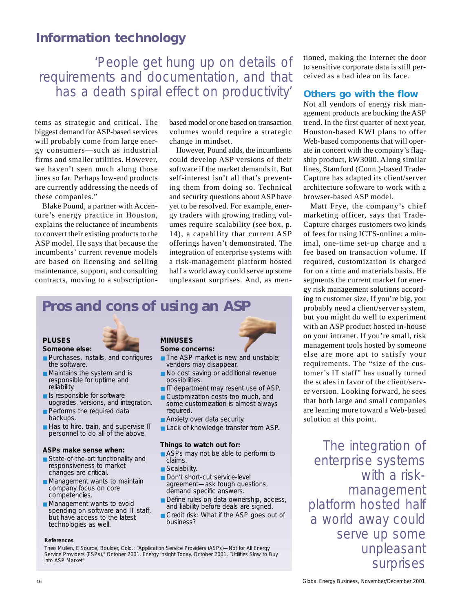'People get hung up on details of requirements and documentation, and that has a death spiral effect on productivity'

tems as strategic and critical. The biggest demand for ASP-based services will probably come from large energy consumers—such as industrial firms and smaller utilities. However, we haven't seen much along those lines so far. Perhaps low-end products are currently addressing the needs of these companies."

Blake Pound, a partner with Accenture's energy practice in Houston, explains the reluctance of incumbents to convert their existing products to the ASP model. He says that because the incumbents' current revenue models are based on licensing and selling maintenance, support, and consulting contracts, moving to a subscriptionbased model or one based on transaction volumes would require a strategic change in mindset.

However, Pound adds, the incumbents could develop ASP versions of their software if the market demands it. But self-interest isn't all that's preventing them from doing so. Technical and security questions about ASP have yet to be resolved. For example, energy traders with growing trading volumes require scalability (see box, p. 14), a capability that current ASP offerings haven't demonstrated. The integration of enterprise systems with a risk-management platform hosted half a world away could serve up some unpleasant surprises. And, as men-

# **Pros and cons of using an ASP**

### **PLUSES**

#### **Someone else:**

- Purchases, installs, and configures the software.
- Maintains the system and is responsible for uptime and reliability.
- Is responsible for software upgrades, versions, and integration.
- Performs the required data backups.
- Has to hire, train, and supervise IT personnel to do all of the above.

#### **ASPs make sense when:**

- State-of-the-art functionality and responsiveness to market changes are critical.
- Management wants to maintain company focus on core competencies.
- Management wants to avoid spending on software and IT staff, but have access to the latest technologies as well.

#### **MINUSES Some concerns:**

- The ASP market is new and unstable; vendors may disappear.
- No cost saving or additional revenue possibilities.
- IT department may resent use of ASP.
- Customization costs too much, and some customization is almost always required.
- Anxiety over data security.
- Lack of knowledge transfer from ASP.

#### **Things to watch out for:**

- ASPs may not be able to perform to claims.
- Scalability.
- Don't short-cut service-level agreement—ask tough questions, demand specific answers.
- Define rules on data ownership, access, and liability before deals are signed.
- Credit risk: What if the ASP goes out of business?

#### **References**

Theo Mullen, E Source, Boulder, Colo.: "Application Service Providers (ASPs)—Not for All Energy Service Providers (ESPs)," October 2001. *Energy Insight Today,* October 2001, "Utilities Slow to Buy into ASP Market"

tioned, making the Internet the door to sensitive corporate data is still perceived as a bad idea on its face.

## **Others go with the flow**

Not all vendors of energy risk management products are bucking the ASP trend. In the first quarter of next year, Houston-based KWI plans to offer Web-based components that will operate in concert with the company's flagship product, kW3000. Along similar lines, Stamford (Conn.)-based Trade-Capture has adapted its client/server architecture software to work with a browser-based ASP model.

Matt Frye, the company's chief marketing officer, says that Trade-Capture charges customers two kinds of fees for using ICTS-online: a minimal, one-time set-up charge and a fee based on transaction volume. If required, customization is charged for on a time and materials basis. He segments the current market for energy risk management solutions according to customer size. If you're big, you probably need a client/server system, but you might do well to experiment with an ASP product hosted in-house on your intranet. If you're small, risk management tools hosted by someone else are more apt to satisfy your requirements. The "size of the customer's IT staff" has usually turned the scales in favor of the client/server version. Looking forward, he sees that both large and small companies are leaning more toward a Web-based solution at this point.

The integration of enterprise systems with a riskmanagement platform hosted half a world away could serve up some unpleasant surprises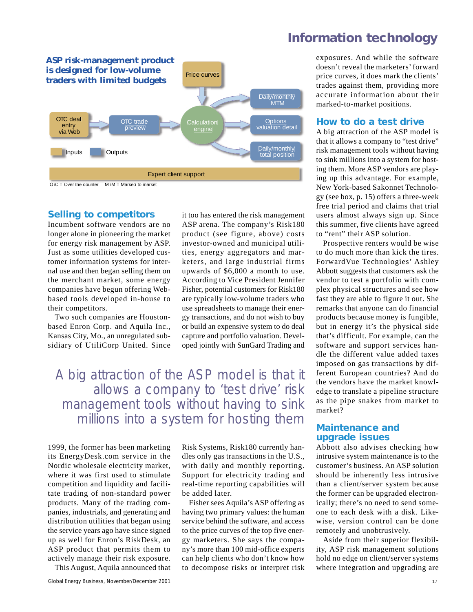

### **Selling to competitors**

Incumbent software vendors are no longer alone in pioneering the market for energy risk management by ASP. Just as some utilities developed customer information systems for internal use and then began selling them on the merchant market, some energy companies have begun offering Webbased tools developed in-house to their competitors.

Two such companies are Houstonbased Enron Corp. and Aquila Inc., Kansas City, Mo., an unregulated subsidiary of UtiliCorp United. Since it too has entered the risk management ASP arena. The company's Risk180 product (see figure, above) costs investor-owned and municipal utilities, energy aggregators and marketers, and large industrial firms upwards of \$6,000 a month to use. According to Vice President Jennifer Fisher, potential customers for Risk180 are typically low-volume traders who use spreadsheets to manage their energy transactions, and do not wish to buy or build an expensive system to do deal capture and portfolio valuation. Developed jointly with SunGard Trading and

A big attraction of the ASP model is that it allows a company to 'test drive' risk management tools without having to sink millions into a system for hosting them

1999, the former has been marketing its EnergyDesk.com service in the Nordic wholesale electricity market, where it was first used to stimulate competition and liquidity and facilitate trading of non-standard power products. Many of the trading companies, industrials, and generating and distribution utilities that began using the service years ago have since signed up as well for Enron's RiskDesk, an ASP product that permits them to actively manage their risk exposure.

This August, Aquila announced that

Risk Systems, Risk180 currently handles only gas transactions in the U.S., with daily and monthly reporting. Support for electricity trading and real-time reporting capabilities will be added later.

Fisher sees Aquila's ASP offering as having two primary values: the human service behind the software, and access to the price curves of the top five energy marketers. She says the company's more than 100 mid-office experts can help clients who don't know how to decompose risks or interpret risk

exposures. And while the software doesn't reveal the marketers' forward price curves, it does mark the clients' trades against them, providing more accurate information about their marked-to-market positions.

#### **How to do a test drive**

A big attraction of the ASP model is that it allows a company to "test drive" risk management tools without having to sink millions into a system for hosting them. More ASP vendors are playing up this advantage. For example, New York-based Sakonnet Technology (see box, p. 15) offers a three-week free trial period and claims that trial users almost always sign up. Since this summer, five clients have agreed to "rent" their ASP solution.

Prospective renters would be wise to do much more than kick the tires. ForwardVue Technologies' Ashley Abbott suggests that customers ask the vendor to test a portfolio with complex physical structures and see how fast they are able to figure it out. She remarks that anyone can do financial products because money is fungible, but in energy it's the physical side that's difficult. For example, can the software and support services handle the different value added taxes imposed on gas transactions by different European countries? And do the vendors have the market knowledge to translate a pipeline structure as the pipe snakes from market to market?

#### **Maintenance and upgrade issues**

Abbott also advises checking how intrusive system maintenance is to the customer's business. An ASP solution should be inherently less intrusive than a client/server system because the former can be upgraded electronically; there's no need to send someone to each desk with a disk. Likewise, version control can be done remotely and unobtrusively.

Aside from their superior flexibility, ASP risk management solutions hold no edge on client/server systems where integration and upgrading are